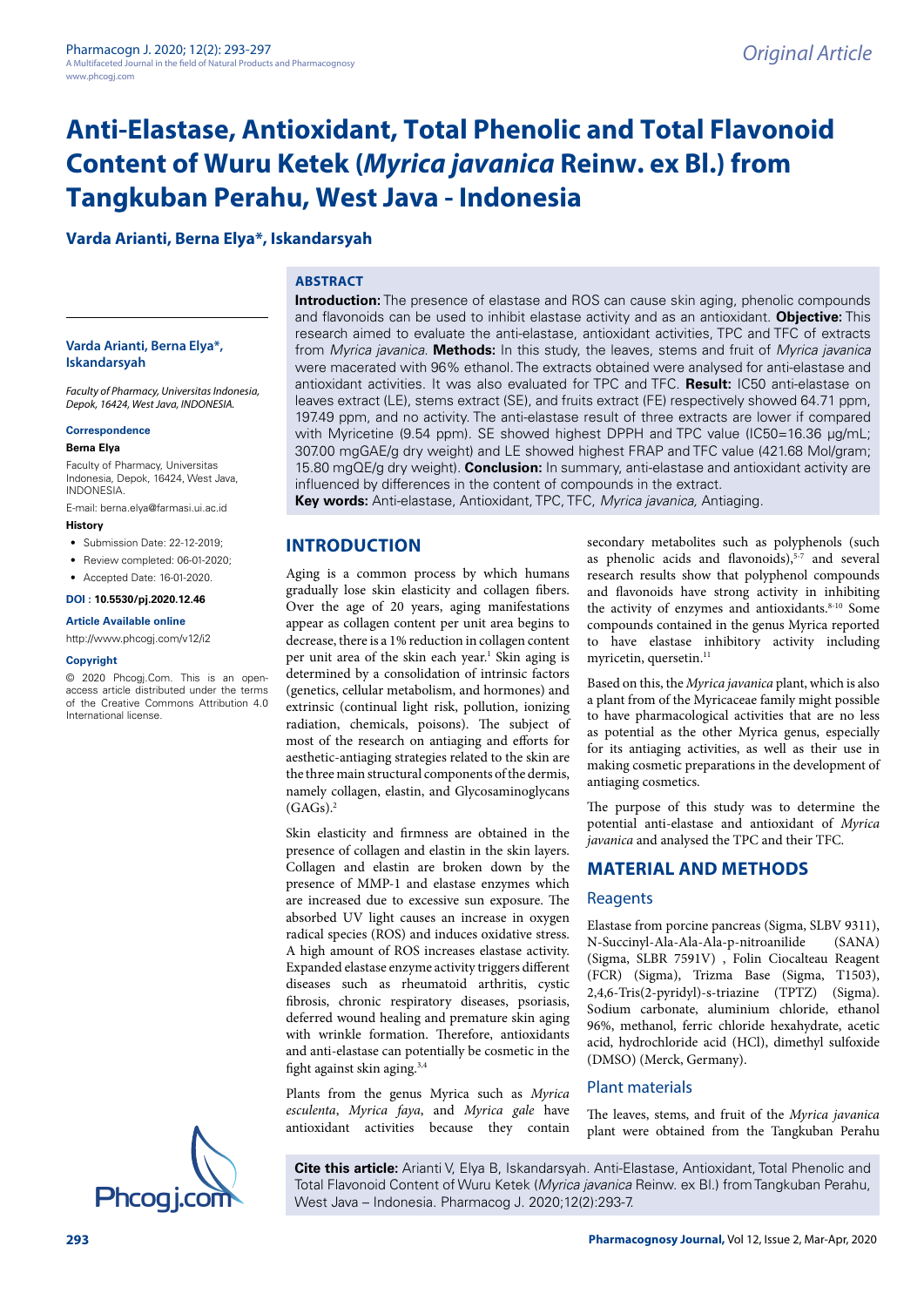# **Anti-Elastase, Antioxidant, Total Phenolic and Total Flavonoid Content of Wuru Ketek (***Myrica javanica* **Reinw. ex Bl.) from Tangkuban Perahu, West Java - Indonesia**

#### **Varda Arianti, Berna Elya\*, Iskandarsyah**

#### **ABSTRACT**

**Varda Arianti, Berna Elya\*, Iskandarsyah**

*Faculty of Pharmacy, Universitas Indonesia, Depok, 16424, West Java, INDONESIA.*

#### **Correspondence**

#### **Berna Elya**

Faculty of Pharmacy, Universitas Indonesia, Depok, 16424, West Java, INDONESIA.

E-mail: berna.elya@farmasi.ui.ac.id

#### **History**

- Submission Date: 22-12-2019;
- Review completed: 06-01-2020;
- Accepted Date: 16-01-2020.

#### **DOI : 10.5530/pj.2020.12.46**

#### **Article Available online**

<http://www.phcogj.com/v12/i2>

#### **Copyright**

© 2020 Phcogj.Com. This is an openaccess article distributed under the terms of the Creative Commons Attribution 4.0 International license.



**Introduction:** The presence of elastase and ROS can cause skin aging, phenolic compounds and flavonoids can be used to inhibit elastase activity and as an antioxidant. **Objective:** This research aimed to evaluate the anti-elastase, antioxidant activities, TPC and TFC of extracts from *Myrica javanica*. **Methods:** In this study, the leaves, stems and fruit of *Myrica javanica* were macerated with 96% ethanol. The extracts obtained were analysed for anti-elastase and antioxidant activities. It was also evaluated for TPC and TFC. **Result:** IC50 anti-elastase on leaves extract (LE), stems extract (SE), and fruits extract (FE) respectively showed 64.71 ppm, 197.49 ppm, and no activity. The anti-elastase result of three extracts are lower if compared with Myricetine (9.54 ppm). SE showed highest DPPH and TPC value (IC50=16.36 µg/mL; 307.00 mgGAE/g dry weight) and LE showed highest FRAP and TFC value (421.68 Mol/gram; 15.80 mgQE/g dry weight). **Conclusion:** In summary, anti-elastase and antioxidant activity are influenced by differences in the content of compounds in the extract.

**Key words:** Anti-elastase, Antioxidant, TPC, TFC, *Myrica javanica,* Antiaging.

# **INTRODUCTION**

Aging is a common process by which humans gradually lose skin elasticity and collagen fibers. Over the age of 20 years, aging manifestations appear as collagen content per unit area begins to decrease, there is a 1% reduction in collagen content per unit area of the skin each year.<sup>1</sup> Skin aging is determined by a consolidation of intrinsic factors (genetics, cellular metabolism, and hormones) and extrinsic (continual light risk, pollution, ionizing radiation, chemicals, poisons). The subject of most of the research on antiaging and efforts for aesthetic-antiaging strategies related to the skin are the three main structural components of the dermis, namely collagen, elastin, and Glycosaminoglycans  $(GAGs).<sup>2</sup>$ 

Skin elasticity and firmness are obtained in the presence of collagen and elastin in the skin layers. Collagen and elastin are broken down by the presence of MMP-1 and elastase enzymes which are increased due to excessive sun exposure. The absorbed UV light causes an increase in oxygen radical species (ROS) and induces oxidative stress. A high amount of ROS increases elastase activity. Expanded elastase enzyme activity triggers different diseases such as rheumatoid arthritis, cystic fibrosis, chronic respiratory diseases, psoriasis, deferred wound healing and premature skin aging with wrinkle formation. Therefore, antioxidants and anti-elastase can potentially be cosmetic in the fight against skin aging.<sup>3,4</sup>

Plants from the genus Myrica such as *Myrica esculenta*, *Myrica faya*, and *Myrica gale* have antioxidant activities because they contain

secondary metabolites such as polyphenols (such as phenolic acids and flavonoids),<sup>5-7</sup> and several research results show that polyphenol compounds and flavonoids have strong activity in inhibiting the activity of enzymes and antioxidants.<sup>8-10</sup> Some compounds contained in the genus Myrica reported to have elastase inhibitory activity including myricetin, quersetin.<sup>11</sup>

Based on this, the *Myrica javanica* plant, which is also a plant from of the Myricaceae family might possible to have pharmacological activities that are no less as potential as the other Myrica genus, especially for its antiaging activities, as well as their use in making cosmetic preparations in the development of antiaging cosmetics.

The purpose of this study was to determine the potential anti-elastase and antioxidant of *Myrica javanica* and analysed the TPC and their TFC.

# **MATERIAL AND METHODS**

#### **Reagents**

Elastase from porcine pancreas (Sigma, SLBV 9311), N-Succinyl-Ala-Ala-Ala-p-nitroanilide (Sigma, SLBR 7591V) , Folin Ciocalteau Reagent (FCR) (Sigma), Trizma Base (Sigma, T1503), 2,4,6-Tris(2-pyridyl)-s-triazine (TPTZ) (Sigma). Sodium carbonate, aluminium chloride, ethanol 96%, methanol, ferric chloride hexahydrate, acetic acid, hydrochloride acid (HCl), dimethyl sulfoxide (DMSO) (Merck, Germany).

#### Plant materials

The leaves, stems, and fruit of the *Myrica javanica* plant were obtained from the Tangkuban Perahu

**Cite this article:** Arianti V, Elya B, Iskandarsyah. Anti-Elastase, Antioxidant, Total Phenolic and Total Flavonoid Content of Wuru Ketek (*Myrica javanica* Reinw. ex Bl.) from Tangkuban Perahu,<br>West Java – Indonesia. Pharmacog J. 2020;12(2):293-7.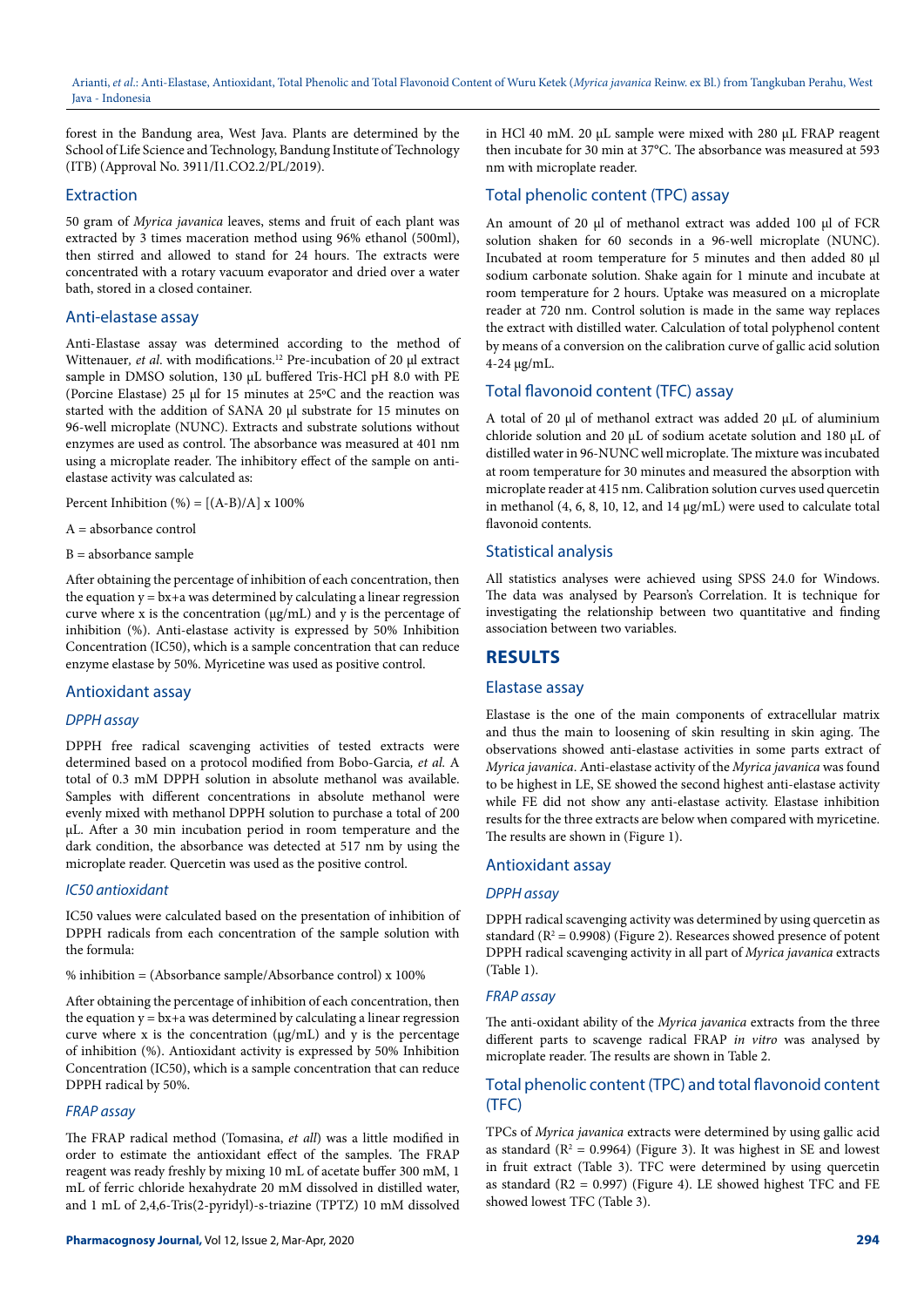forest in the Bandung area, West Java. Plants are determined by the School of Life Science and Technology, Bandung Institute of Technology (ITB) (Approval No. 3911/I1.CO2.2/PL/2019).

#### Extraction

50 gram of *Myrica javanica* leaves, stems and fruit of each plant was extracted by 3 times maceration method using 96% ethanol (500ml), then stirred and allowed to stand for 24 hours. The extracts were concentrated with a rotary vacuum evaporator and dried over a water bath, stored in a closed container.

#### Anti-elastase assay

Anti-Elastase assay was determined according to the method of Wittenauer, et al. with modifications.<sup>12</sup> Pre-incubation of 20 µl extract sample in DMSO solution, 130 µL buffered Tris-HCl pH 8.0 with PE (Porcine Elastase) 25 µl for 15 minutes at 25ºC and the reaction was started with the addition of SANA 20 µl substrate for 15 minutes on 96-well microplate (NUNC). Extracts and substrate solutions without enzymes are used as control. The absorbance was measured at 401 nm using a microplate reader. The inhibitory effect of the sample on antielastase activity was calculated as:

Percent Inhibition  $(\% ) = [(A-B)/A] \times 100\%$ 

A = absorbance control

B = absorbance sample

After obtaining the percentage of inhibition of each concentration, then the equation  $y = bx + a$  was determined by calculating a linear regression curve where x is the concentration  $(\mu g/mL)$  and y is the percentage of inhibition (%). Anti-elastase activity is expressed by 50% Inhibition Concentration (IC50), which is a sample concentration that can reduce enzyme elastase by 50%. Myricetine was used as positive control.

#### Antioxidant assay

#### *DPPH assay*

DPPH free radical scavenging activities of tested extracts were determined based on a protocol modified from Bobo-Garcia*, et al.* A total of 0.3 mM DPPH solution in absolute methanol was available. Samples with different concentrations in absolute methanol were evenly mixed with methanol DPPH solution to purchase a total of 200 µL. After a 30 min incubation period in room temperature and the dark condition, the absorbance was detected at 517 nm by using the microplate reader. Quercetin was used as the positive control.

#### *IC50 antioxidant*

IC50 values were calculated based on the presentation of inhibition of DPPH radicals from each concentration of the sample solution with the formula:

% inhibition = (Absorbance sample/Absorbance control) x 100%

After obtaining the percentage of inhibition of each concentration, then the equation  $y = bx + a$  was determined by calculating a linear regression curve where x is the concentration  $(\mu g/mL)$  and y is the percentage of inhibition (%). Antioxidant activity is expressed by 50% Inhibition Concentration (IC50), which is a sample concentration that can reduce DPPH radical by 50%.

## *FRAP assay*

The FRAP radical method (Tomasina, *et all*) was a little modified in order to estimate the antioxidant effect of the samples. The FRAP reagent was ready freshly by mixing 10 mL of acetate buffer 300 mM, 1 mL of ferric chloride hexahydrate 20 mM dissolved in distilled water, and 1 mL of 2,4,6-Tris(2-pyridyl)-s-triazine (TPTZ) 10 mM dissolved

in HCl 40 mM. 20 µL sample were mixed with 280 µL FRAP reagent then incubate for 30 min at 37°C. The absorbance was measured at 593 nm with microplate reader.

# Total phenolic content (TPC) assay

An amount of 20 µl of methanol extract was added 100 µl of FCR solution shaken for 60 seconds in a 96-well microplate (NUNC). Incubated at room temperature for 5 minutes and then added 80 µl sodium carbonate solution. Shake again for 1 minute and incubate at room temperature for 2 hours. Uptake was measured on a microplate reader at 720 nm. Control solution is made in the same way replaces the extract with distilled water. Calculation of total polyphenol content by means of a conversion on the calibration curve of gallic acid solution 4-24 µg/mL.

## Total flavonoid content (TFC) assay

A total of 20 µl of methanol extract was added 20 µL of aluminium chloride solution and 20 µL of sodium acetate solution and 180 µL of distilled water in 96-NUNC well microplate. The mixture was incubated at room temperature for 30 minutes and measured the absorption with microplate reader at 415 nm. Calibration solution curves used quercetin in methanol  $(4, 6, 8, 10, 12,$  and  $14 \mu g/mL)$  were used to calculate total flavonoid contents.

## Statistical analysis

All statistics analyses were achieved using SPSS 24.0 for Windows. The data was analysed by Pearson's Correlation. It is technique for investigating the relationship between two quantitative and finding association between two variables.

# **RESULTS**

#### Elastase assay

Elastase is the one of the main components of extracellular matrix and thus the main to loosening of skin resulting in skin aging. The observations showed anti-elastase activities in some parts extract of *Myrica javanica*. Anti-elastase activity of the *Myrica javanica* was found to be highest in LE, SE showed the second highest anti-elastase activity while FE did not show any anti-elastase activity. Elastase inhibition results for the three extracts are below when compared with myricetine. The results are shown in (Figure 1).

#### Antioxidant assay

## *DPPH assay*

DPPH radical scavenging activity was determined by using quercetin as standard ( $R^2$  = 0.9908) (Figure 2). Researces showed presence of potent DPPH radical scavenging activity in all part of *Myrica javanica* extracts (Table 1).

#### *FRAP assay*

The anti-oxidant ability of the *Myrica javanica* extracts from the three different parts to scavenge radical FRAP *in vitro* was analysed by microplate reader. The results are shown in Table 2.

## Total phenolic content (TPC) and total flavonoid content (TFC)

TPCs of *Myrica javanica* extracts were determined by using gallic acid as standard ( $R^2 = 0.9964$ ) (Figure 3). It was highest in SE and lowest in fruit extract (Table 3). TFC were determined by using quercetin as standard  $(R2 = 0.997)$  (Figure 4). LE showed highest TFC and FE showed lowest TFC (Table 3).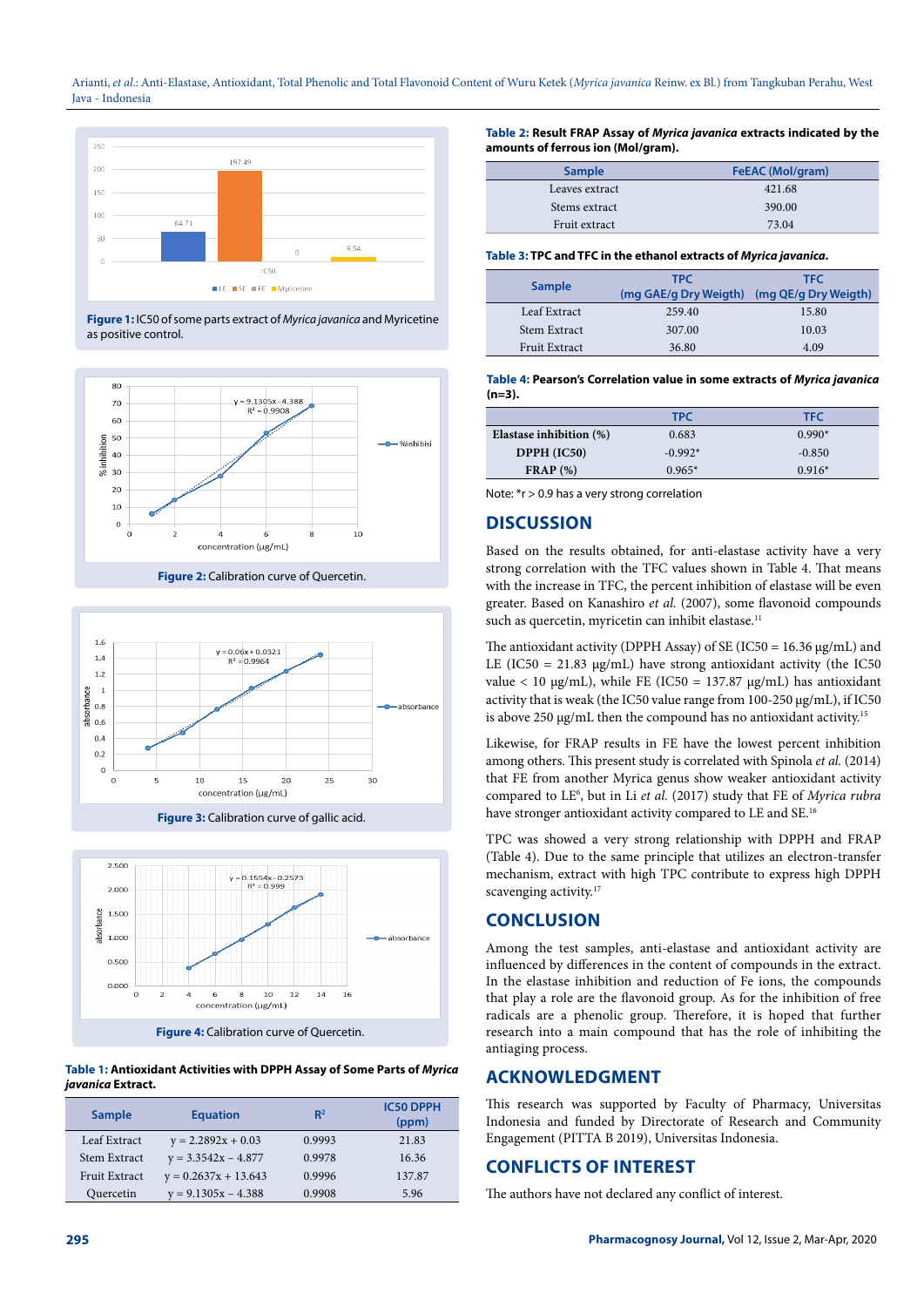Arianti, *et al*.: Anti-Elastase, Antioxidant, Total Phenolic and Total Flavonoid Content of Wuru Ketek (*Myrica javanica* Reinw. ex Bl.) from Tangkuban Perahu, West Java - Indonesia



**Figure 1:** IC50 of some parts extract of *Myrica javanica* and Myricetine as positive control.



**Figure 2:** Calibration curve of Quercetin.



**Figure 3:** Calibration curve of gallic acid.



**Table 1: Antioxidant Activities with DPPH Assay of Some Parts of** *Myrica javanica* **Extract.**

| <b>Sample</b>        | <b>Equation</b>        | $R^2$  | <b>IC50 DPPH</b><br>(ppm) |
|----------------------|------------------------|--------|---------------------------|
| Leaf Extract         | $y = 2.2892x + 0.03$   | 0.9993 | 21.83                     |
| Stem Extract         | $y = 3.3542x - 4.877$  | 0.9978 | 16.36                     |
| <b>Fruit Extract</b> | $y = 0.2637x + 13.643$ | 0.9996 | 137.87                    |
| Quercetin            | $y = 9.1305x - 4.388$  | 0.9908 | 5.96                      |

**Table 2: Result FRAP Assay of** *Myrica javanica* **extracts indicated by the amounts of ferrous ion (Mol/gram).**

| <b>Sample</b>  | FeEAC (Mol/gram) |  |
|----------------|------------------|--|
| Leaves extract | 421.68           |  |
| Stems extract  | 390.00           |  |
| Fruit extract  | 73.04            |  |

#### **Table 3: TPC and TFC in the ethanol extracts of** *Myrica javanica***.**

| <b>Sample</b>        | <b>TPC</b><br>(mg GAE/g Dry Weigth) | <b>TFC</b><br>(mg QE/g Dry Weigth) |
|----------------------|-------------------------------------|------------------------------------|
| Leaf Extract         | 259.40                              | 15.80                              |
| Stem Extract         | 307.00                              | 10.03                              |
| <b>Fruit Extract</b> | 36.80                               | 4.09                               |

#### **Table 4: Pearson's Correlation value in some extracts of** *Myrica javanica*  **(n=3).**

|                         | <b>TPC</b> | <b>TFC</b> |
|-------------------------|------------|------------|
| Elastase inhibition (%) | 0.683      | $0.990*$   |
| DPPH (IC50)             | $-0.992*$  | $-0.850$   |
| $\textbf{FRAP}$ (%)     | $0.965*$   | $0.916*$   |

Note: \*r > 0.9 has a very strong correlation

## **DISCUSSION**

Based on the results obtained, for anti-elastase activity have a very strong correlation with the TFC values shown in Table 4. That means with the increase in TFC, the percent inhibition of elastase will be even greater. Based on Kanashiro *et al.* (2007), some flavonoid compounds such as quercetin, myricetin can inhibit elastase.<sup>11</sup>

The antioxidant activity (DPPH Assay) of SE (IC50 = 16.36  $\mu$ g/mL) and LE (IC50 = 21.83  $\mu$ g/mL) have strong antioxidant activity (the IC50 value < 10 μg/mL), while FE (IC50 = 137.87 μg/mL) has antioxidant activity that is weak (the IC50 value range from 100-250 μg/mL), if IC50 is above 250 µg/mL then the compound has no antioxidant activity.15

Likewise, for FRAP results in FE have the lowest percent inhibition among others. This present study is correlated with Spinola *et al.* (2014) that FE from another Myrica genus show weaker antioxidant activity compared to LE<sup>6</sup>, but in Li et al. (2017) study that FE of *Myrica rubra* have stronger antioxidant activity compared to LE and SE.<sup>16</sup>

TPC was showed a very strong relationship with DPPH and FRAP (Table 4). Due to the same principle that utilizes an electron-transfer mechanism, extract with high TPC contribute to express high DPPH scavenging activity.<sup>17</sup>

# **CONCLUSION**

Among the test samples, anti-elastase and antioxidant activity are influenced by differences in the content of compounds in the extract. In the elastase inhibition and reduction of Fe ions, the compounds that play a role are the flavonoid group. As for the inhibition of free radicals are a phenolic group. Therefore, it is hoped that further research into a main compound that has the role of inhibiting the antiaging process.

# **ACKNOWLEDGMENT**

This research was supported by Faculty of Pharmacy, Universitas Indonesia and funded by Directorate of Research and Community Engagement (PITTA B 2019), Universitas Indonesia.

# **CONFLICTS OF INTEREST**

The authors have not declared any conflict of interest.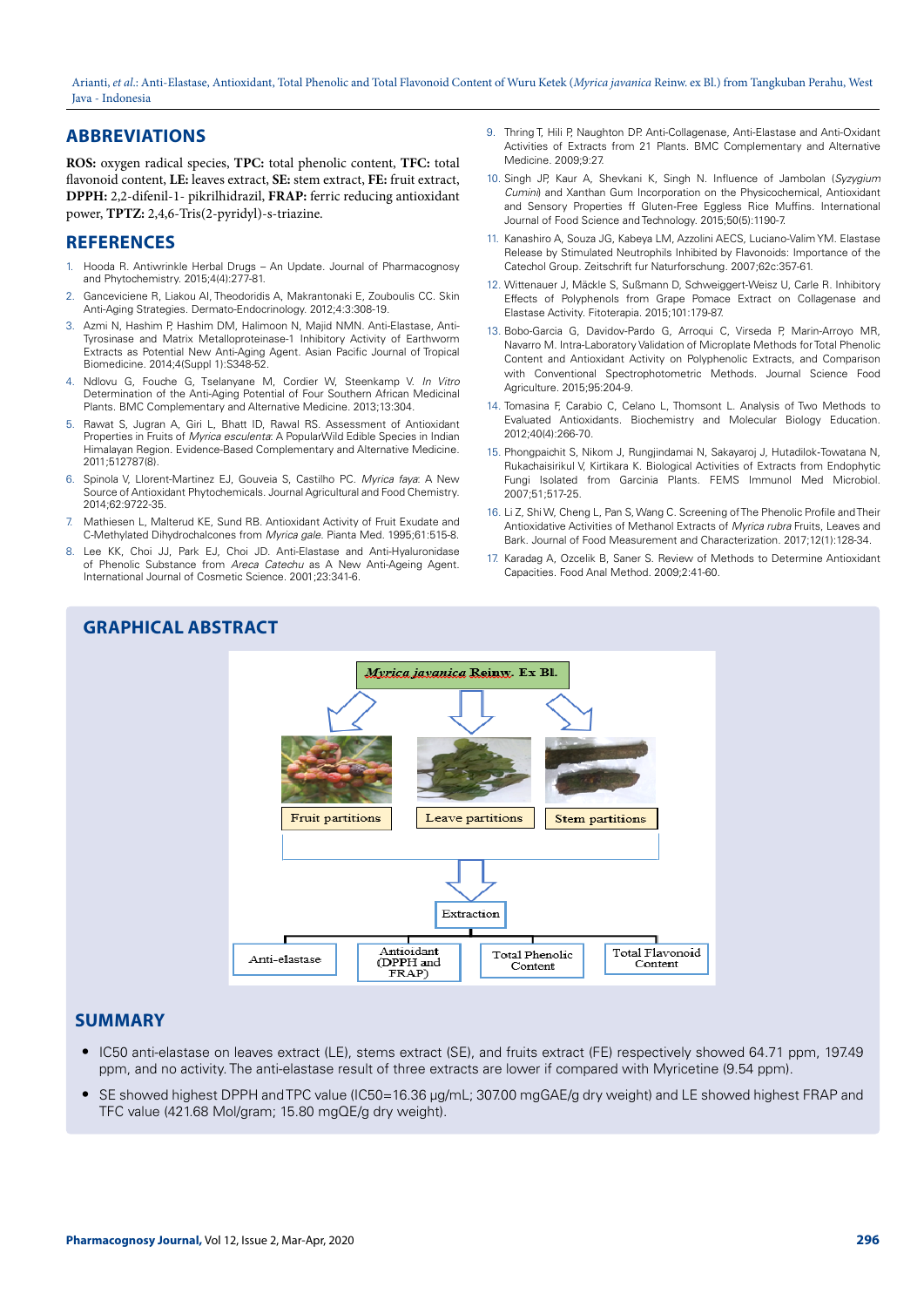Arianti, *et al*.: Anti-Elastase, Antioxidant, Total Phenolic and Total Flavonoid Content of Wuru Ketek (*Myrica javanica* Reinw. ex Bl.) from Tangkuban Perahu, West Java - Indonesia

# **ABBREVIATIONS**

**ROS:** oxygen radical species, **TPC:** total phenolic content, **TFC:** total flavonoid content, **LE:** leaves extract, **SE:** stem extract, **FE:** fruit extract, **DPPH:** 2,2-difenil-1- pikrilhidrazil, **FRAP:** ferric reducing antioxidant power, **TPTZ:** 2,4,6-Tris(2-pyridyl)-s-triazine.

## **REFERENCES**

- 1. Hooda R. Antiwrinkle Herbal Drugs An Update. Journal of Pharmacognosy and Phytochemistry. 2015;4(4):277-81.
- 2. Ganceviciene R, Liakou AI, Theodoridis A, Makrantonaki E, Zouboulis CC. Skin Anti-Aging Strategies. Dermato-Endocrinology. 2012;4:3:308-19.
- 3. Azmi N, Hashim P, Hashim DM, Halimoon N, Majid NMN. Anti-Elastase, Anti-Tyrosinase and Matrix Metalloproteinase-1 Inhibitory Activity of Earthworm Extracts as Potential New Anti-Aging Agent. Asian Pacific Journal of Tropical Biomedicine. 2014;4(Suppl 1):S348-52.
- 4. Ndlovu G, Fouche G, Tselanyane M, Cordier W, Steenkamp V. *In Vitro* Determination of the Anti-Aging Potential of Four Southern African Medicinal Plants. BMC Complementary and Alternative Medicine. 2013;13:304.
- 5. Rawat S, Jugran A, Giri L, Bhatt ID, Rawal RS. Assessment of Antioxidant Properties in Fruits of *Myrica esculenta*: A PopularWild Edible Species in Indian Himalayan Region. Evidence-Based Complementary and Alternative Medicine. 2011;512787(8).
- 6. Spinola V, Llorent-Martinez EJ, Gouveia S, Castilho PC. *Myrica faya*: A New Source of Antioxidant Phytochemicals. Journal Agricultural and Food Chemistry. 2014;62:9722-35.
- 7. Mathiesen L, Malterud KE, Sund RB. Antioxidant Activity of Fruit Exudate and C-Methylated Dihydrochalcones from *Myrica gale*. Pianta Med. 1995;61:515-8.
- 8. Lee KK, Choi JJ, Park EJ, Choi JD. Anti-Elastase and Anti-Hyaluronidase of Phenolic Substance from *Areca Catechu* as A New Anti-Ageing Agent. International Journal of Cosmetic Science. 2001;23:341-6.
- 9. Thring T, Hili P, Naughton DP. Anti-Collagenase, Anti-Elastase and Anti-Oxidant Activities of Extracts from 21 Plants. BMC Complementary and Alternative Medicine. 2009;9:27.
- 10. Singh JP, Kaur A, Shevkani K, Singh N. Influence of Jambolan (*Syzygium Cumini*) and Xanthan Gum Incorporation on the Physicochemical, Antioxidant and Sensory Properties ff Gluten‐Free Eggless Rice Muffins. International Journal of Food Science and Technology. 2015;50(5):1190-7.
- 11. Kanashiro A, Souza JG, Kabeya LM, Azzolini AECS, Luciano-Valim YM. Elastase Release by Stimulated Neutrophils Inhibited by Flavonoids: Importance of the Catechol Group. Zeitschrift fur Naturforschung. 2007;62c:357-61.
- 12. Wittenauer J, Mäckle S, Sußmann D, Schweiggert-Weisz U, Carle R. Inhibitory Effects of Polyphenols from Grape Pomace Extract on Collagenase and Elastase Activity. Fitoterapia. 2015;101:179-87.
- 13. Bobo-Garcia G, Davidov-Pardo G, Arroqui C, Virseda P, Marin-Arroyo MR, Navarro M. Intra-Laboratory Validation of Microplate Methods for Total Phenolic Content and Antioxidant Activity on Polyphenolic Extracts, and Comparison with Conventional Spectrophotometric Methods. Journal Science Food Agriculture. 2015;95:204-9.
- 14. Tomasina F, Carabio C, Celano L, Thomsont L. Analysis of Two Methods to Evaluated Antioxidants. Biochemistry and Molecular Biology Education. 2012;40(4):266-70.
- 15. Phongpaichit S, Nikom J, Rungjindamai N, Sakayaroj J, Hutadilok‐Towatana N, Rukachaisirikul V, Kirtikara K. Biological Activities of Extracts from Endophytic Fungi Isolated from Garcinia Plants. FEMS Immunol Med Microbiol. 2007;51;517-25.
- 16. Li Z, Shi W, Cheng L, Pan S, Wang C. Screening of The Phenolic Profile and Their Antioxidative Activities of Methanol Extracts of *Myrica rubra* Fruits, Leaves and Bark. Journal of Food Measurement and Characterization. 2017;12(1):128-34.
- 17. Karadag A, Ozcelik B, Saner S. Review of Methods to Determine Antioxidant Capacities. Food Anal Method. 2009;2:41-60.



#### **SUMMARY**

- IC50 anti-elastase on leaves extract (LE), stems extract (SE), and fruits extract (FE) respectively showed 64.71 ppm, 197.49 ppm, and no activity. The anti-elastase result of three extracts are lower if compared with Myricetine (9.54 ppm).
- SE showed highest DPPH and TPC value (IC50=16.36 µg/mL; 307.00 mgGAE/g dry weight) and LE showed highest FRAP and TFC value (421.68 Mol/gram; 15.80 mgQE/g dry weight).

**GRAPHICAL ABSTRACT**